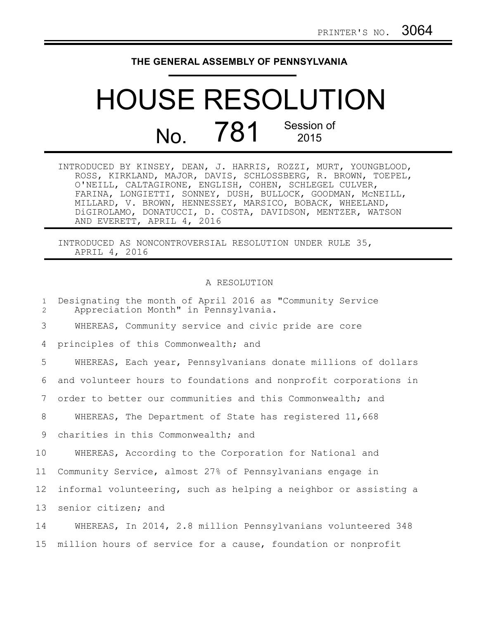## **THE GENERAL ASSEMBLY OF PENNSYLVANIA**

## HOUSE RESOLUTION No. 781 Session of 2015

| INTRODUCED BY KINSEY, DEAN, J. HARRIS, ROZZI, MURT, YOUNGBLOOD, |  |
|-----------------------------------------------------------------|--|
| ROSS, KIRKLAND, MAJOR, DAVIS, SCHLOSSBERG, R. BROWN, TOEPEL,    |  |
| O'NEILL, CALTAGIRONE, ENGLISH, COHEN, SCHLEGEL CULVER,          |  |
| FARINA, LONGIETTI, SONNEY, DUSH, BULLOCK, GOODMAN, MCNEILL,     |  |
| MILLARD, V. BROWN, HENNESSEY, MARSICO, BOBACK, WHEELAND,        |  |
| DiGIROLAMO, DONATUCCI, D. COSTA, DAVIDSON, MENTZER, WATSON      |  |
| AND EVERETT, APRIL 4, 2016                                      |  |

INTRODUCED AS NONCONTROVERSIAL RESOLUTION UNDER RULE 35, APRIL 4, 2016

## A RESOLUTION

| $\mathbf{1}$<br>$\overline{2}$ | Designating the month of April 2016 as "Community Service<br>Appreciation Month" in Pennsylvania. |
|--------------------------------|---------------------------------------------------------------------------------------------------|
| 3                              | WHEREAS, Community service and civic pride are core                                               |
| 4                              | principles of this Commonwealth; and                                                              |
| 5                              | WHEREAS, Each year, Pennsylvanians donate millions of dollars                                     |
| 6                              | and volunteer hours to foundations and nonprofit corporations in                                  |
| 7                              | order to better our communities and this Commonwealth; and                                        |
| 8                              | WHEREAS, The Department of State has registered 11,668                                            |
| 9                              | charities in this Commonwealth; and                                                               |
| 10                             | WHEREAS, According to the Corporation for National and                                            |
| 11                             | Community Service, almost 27% of Pennsylvanians engage in                                         |
| 12                             | informal volunteering, such as helping a neighbor or assisting a                                  |
| 13                             | senior citizen; and                                                                               |
| 14                             | WHEREAS, In 2014, 2.8 million Pennsylvanians volunteered 348                                      |
| 15 <sub>1</sub>                | million hours of service for a cause, foundation or nonprofit                                     |
|                                |                                                                                                   |